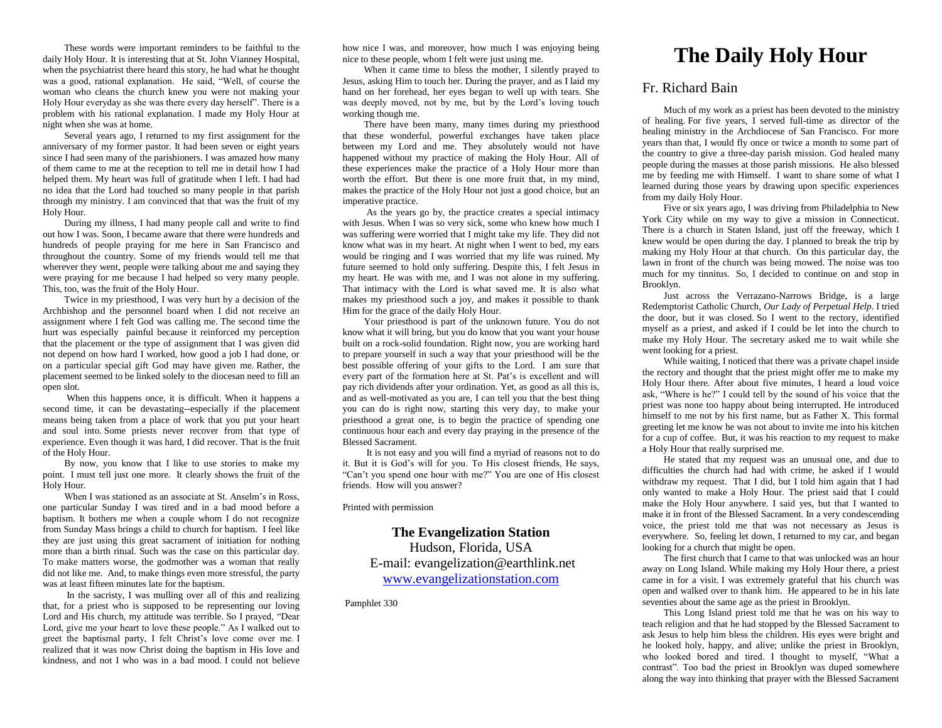These words were important reminders to be faithful to the daily Holy Hour. It is interesting that at St. John Vianney Hospital, when the psychiatrist there heard this story, he had what he thought was a good, rational explanation. He said, "Well, of course the woman who cleans the church knew you were not making your Holy Hour everyday as she was there every day herself". There is a problem with his rational explanation. I made my Holy Hour at night when she was at home.

Several years ago, I returned to my first assignment for the anniversary of my former pastor. It had been seven or eight years since I had seen many of the parishioners. I was amazed how many of them came to me at the reception to tell me in detail how I had helped them. My heart was full of gratitude when I left. I had had no idea that the Lord had touched so many people in that parish through my ministry. I am convinced that that was the fruit of my Holy Hour.

During my illness, I had many people call and write to find out how I was. Soon, I became aware that there were hundreds and hundreds of people praying for me here in San Francisco and throughout the country. Some of my friends would tell me that wherever they went, people were talking about me and saying they were praying for me because I had helped so very many people. This, too, was the fruit of the Holy Hour.

Twice in my priesthood, I was very hurt by a decision of the Archbishop and the personnel board when I did not receive an assignment where I felt God was calling me. The second time the hurt was especially painful because it reinforced my perception that the placement or the type of assignment that I was given did not depend on how hard I worked, how good a job I had done, or on a particular special gift God may have given me. Rather, the placement seemed to be linked solely to the diocesan need to fill an open slot.

When this happens once, it is difficult. When it happens a second time, it can be devastating--especially if the placement means being taken from a place of work that you put your heart and soul into. Some priests never recover from that type of experience. Even though it was hard, I did recover. That is the fruit of the Holy Hour.

By now, you know that I like to use stories to make my point. I must tell just one more. It clearly shows the fruit of the Holy Hour.

When I was stationed as an associate at St. Anselm's in Ross, one particular Sunday I was tired and in a bad mood before a baptism. It bothers me when a couple whom I do not recognize from Sunday Mass brings a child to church for baptism. I feel like they are just using this great sacrament of initiation for nothing more than a birth ritual. Such was the case on this particular day. To make matters worse, the godmother was a woman that really did not like me. And, to make things even more stressful, the party was at least fifteen minutes late for the baptism.

In the sacristy, I was mulling over all of this and realizing that, for a priest who is supposed to be representing our loving Lord and His church, my attitude was terrible. So I prayed, "Dear Lord, give me your heart to love these people." As I walked out to greet the baptismal party, I felt Christ's love come over me. I realized that it was now Christ doing the baptism in His love and kindness, and not I who was in a bad mood. I could not believe

how nice I was, and moreover, how much I was enjoying being nice to these people, whom I felt were just using me.

When it came time to bless the mother, I silently prayed to Jesus, asking Him to touch her. During the prayer, and as I laid my hand on her forehead, her eyes began to well up with tears. She was deeply moved, not by me, but by the Lord's loving touch working though me.

There have been many, many times during my priesthood that these wonderful, powerful exchanges have taken place between my Lord and me. They absolutely would not have happened without my practice of making the Holy Hour. All of these experiences make the practice of a Holy Hour more than worth the effort. But there is one more fruit that, in my mind, makes the practice of the Holy Hour not just a good choice, but an imperative practice.

As the years go by, the practice creates a special intimacy with Jesus. When I was so very sick, some who knew how much I was suffering were worried that I might take my life. They did not know what was in my heart. At night when I went to bed, my ears would be ringing and I was worried that my life was ruined. My future seemed to hold only suffering. Despite this, I felt Jesus in my heart. He was with me, and I was not alone in my suffering. That intimacy with the Lord is what saved me. It is also what makes my priesthood such a joy, and makes it possible to thank Him for the grace of the daily Holy Hour.

Your priesthood is part of the unknown future. You do not know what it will bring, but you do know that you want your house built on a rock-solid foundation. Right now, you are working hard to prepare yourself in such a way that your priesthood will be the best possible offering of your gifts to the Lord. I am sure that every part of the formation here at St. Pat's is excellent and will pay rich dividends after your ordination. Yet, as good as all this is, and as well-motivated as you are, I can tell you that the best thing you can do is right now, starting this very day, to make your priesthood a great one, is to begin the practice of spending one continuous hour each and every day praying in the presence of the Blessed Sacrament.

It is not easy and you will find a myriad of reasons not to do it. But it is God's will for you. To His closest friends, He says, "Can't you spend one hour with me?" You are one of His closest friends. How will you answer?

Printed with permission

**The Evangelization Station** Hudson, Florida, USA E-mail: evangelization@earthlink.net [www.evangelizationstation.com](http://www.pjpiisoe.org/)

Pamphlet 330

## **The Daily Holy Hour**

## Fr. Richard Bain

Much of my work as a priest has been devoted to the ministry of healing. For five years, I served full-time as director of the healing ministry in the Archdiocese of San Francisco. For more years than that, I would fly once or twice a month to some part of the country to give a three-day parish mission. God healed many people during the masses at those parish missions. He also blessed me by feeding me with Himself. I want to share some of what I learned during those years by drawing upon specific experiences from my daily Holy Hour.

Five or six years ago, I was driving from Philadelphia to New York City while on my way to give a mission in Connecticut. There is a church in Staten Island, just off the freeway, which I knew would be open during the day. I planned to break the trip by making my Holy Hour at that church. On this particular day, the lawn in front of the church was being mowed. The noise was too much for my tinnitus. So, I decided to continue on and stop in Brooklyn.

Just across the Verrazano-Narrows Bridge, is a large Redemptorist Catholic Church, *Our Lady of Perpetual Help*. I tried the door, but it was closed. So I went to the rectory, identified myself as a priest, and asked if I could be let into the church to make my Holy Hour. The secretary asked me to wait while she went looking for a priest.

While waiting, I noticed that there was a private chapel inside the rectory and thought that the priest might offer me to make my Holy Hour there. After about five minutes, I heard a loud voice ask, "Where is he?" I could tell by the sound of his voice that the priest was none too happy about being interrupted. He introduced himself to me not by his first name, but as Father X. This formal greeting let me know he was not about to invite me into his kitchen for a cup of coffee. But, it was his reaction to my request to make a Holy Hour that really surprised me.

He stated that my request was an unusual one, and due to difficulties the church had had with crime, he asked if I would withdraw my request. That I did, but I told him again that I had only wanted to make a Holy Hour. The priest said that I could make the Holy Hour anywhere. I said yes, but that I wanted to make it in front of the Blessed Sacrament. In a very condescending voice, the priest told me that was not necessary as Jesus is everywhere. So, feeling let down, I returned to my car, and began looking for a church that might be open.

The first church that I came to that was unlocked was an hour away on Long Island. While making my Holy Hour there, a priest came in for a visit. I was extremely grateful that his church was open and walked over to thank him. He appeared to be in his late seventies about the same age as the priest in Brooklyn.

This Long Island priest told me that he was on his way to teach religion and that he had stopped by the Blessed Sacrament to ask Jesus to help him bless the children. His eyes were bright and he looked holy, happy, and alive; unlike the priest in Brooklyn, who looked bored and tired. I thought to myself, "What a contrast". Too bad the priest in Brooklyn was duped somewhere along the way into thinking that prayer with the Blessed Sacrament